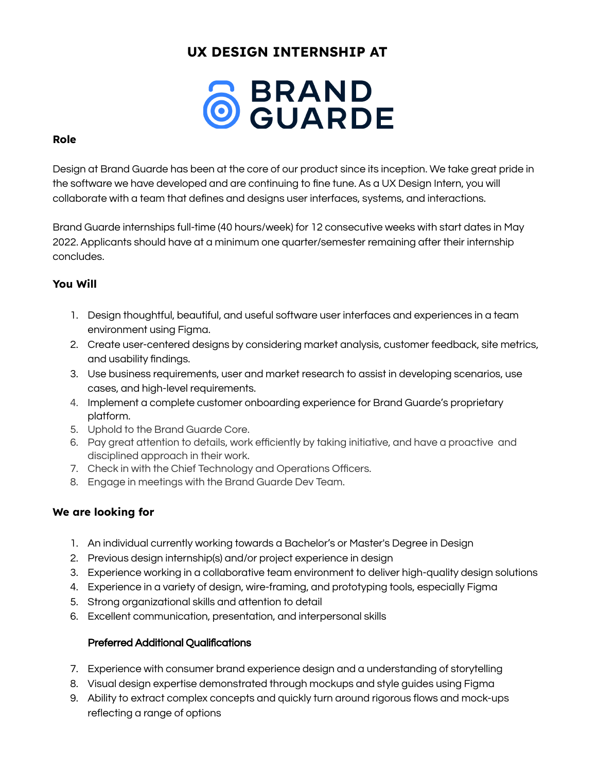# **UX DESIGN INTERNSHIP AT**



# **Role**

Design at Brand Guarde has been at the core of our product since its inception. We take great pride in the software we have developed and are continuing to fine tune. As a UX Design Intern, you will collaborate with a team that defines and designs user interfaces, systems, and interactions.

Brand Guarde internships full-time (40 hours/week) for 12 consecutive weeks with start dates in May 2022. Applicants should have at a minimum one quarter/semester remaining after their internship concludes.

# **You Will**

- 1. Design thoughtful, beautiful, and useful software user interfaces and experiences in a team environment using Figma.
- 2. Create user-centered designs by considering market analysis, customer feedback, site metrics, and usability findings.
- 3. Use business requirements, user and market research to assist in developing scenarios, use cases, and high-level requirements.
- 4. Implement a complete customer onboarding experience for Brand Guarde's proprietary platform.
- 5. Uphold to the Brand Guarde Core.
- 6. Pay great attention to details, work efficiently by taking initiative, and have a proactive and disciplined approach in their work.
- 7. Check in with the Chief Technology and Operations Officers.
- 8. Engage in meetings with the Brand Guarde Dev Team.

# **We are looking for**

- 1. An individual currently working towards a Bachelor's or Master's Degree in Design
- 2. Previous design internship(s) and/or project experience in design
- 3. Experience working in a collaborative team environment to deliver high-quality design solutions
- 4. Experience in a variety of design, wire-framing, and prototyping tools, especially Figma
- 5. Strong organizational skills and attention to detail
- 6. Excellent communication, presentation, and interpersonal skills

# Preferred Additional Qualifications

- 7. Experience with consumer brand experience design and a understanding of storytelling
- 8. Visual design expertise demonstrated through mockups and style guides using Figma
- 9. Ability to extract complex concepts and quickly turn around rigorous flows and mock-ups reflecting a range of options